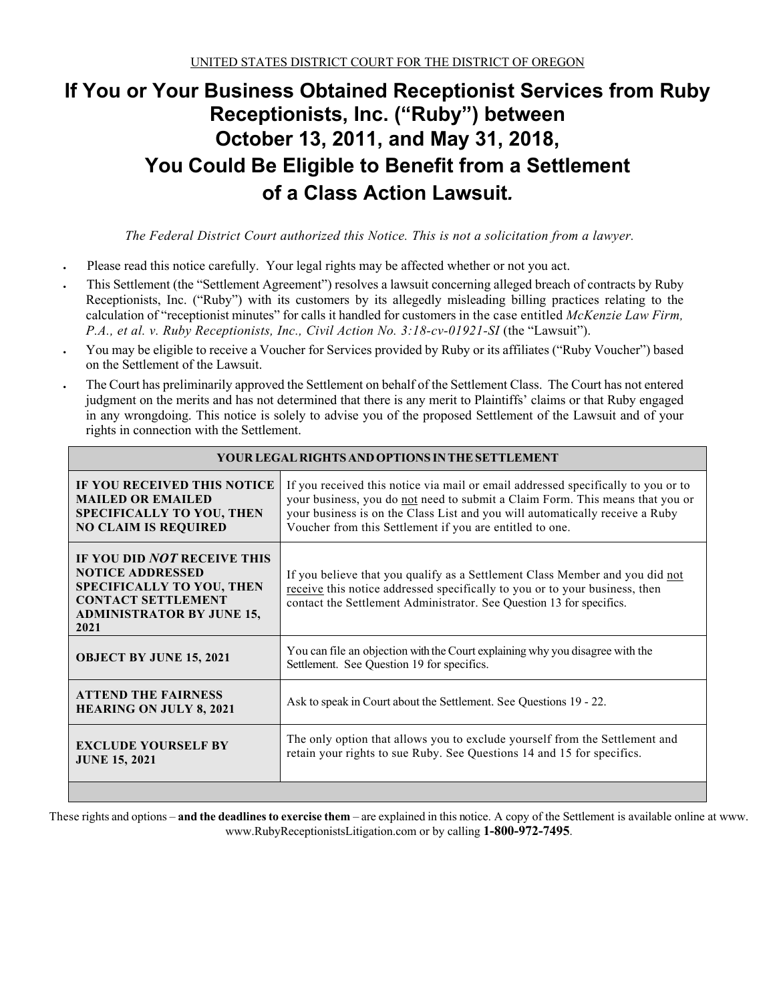# **If You or Your Business Obtained Receptionist Services from Ruby Receptionists, Inc. ("Ruby") between October 13, 2011, and May 31, 2018, You Could Be Eligible to Benefit from a Settlement of a Class Action Lawsuit***.*

*The Federal District Court authorized this Notice. This is not a solicitation from a lawyer.*

- Please read this notice carefully. Your legal rights may be affected whether or not you act.
- This Settlement (the "Settlement Agreement") resolves a lawsuit concerning alleged breach of contracts by Ruby Receptionists, Inc. ("Ruby") with its customers by its allegedly misleading billing practices relating to the calculation of "receptionist minutes" for calls it handled for customers in the case entitled *McKenzie Law Firm, P.A., et al. v. Ruby Receptionists, Inc., Civil Action No. 3:18-cv-01921-SI* (the "Lawsuit").
- You may be eligible to receive a Voucher for Services provided by Ruby or its affiliates ("Ruby Voucher") based on the Settlement of the Lawsuit.
- The Court has preliminarily approved the Settlement on behalf of the Settlement Class. The Court has not entered judgment on the merits and has not determined that there is any merit to Plaintiffs' claims or that Ruby engaged in any wrongdoing. This notice is solely to advise you of the proposed Settlement of the Lawsuit and of your rights in connection with the Settlement.

| YOUR LEGAL RIGHTS AND OPTIONS IN THE SETTLEMENT                                                                                                                     |                                                                                                                                                                                                                                                                                                                |  |  |  |
|---------------------------------------------------------------------------------------------------------------------------------------------------------------------|----------------------------------------------------------------------------------------------------------------------------------------------------------------------------------------------------------------------------------------------------------------------------------------------------------------|--|--|--|
| IF YOU RECEIVED THIS NOTICE<br><b>MAILED OR EMAILED</b><br><b>SPECIFICALLY TO YOU, THEN</b><br><b>NO CLAIM IS REQUIRED</b>                                          | If you received this notice via mail or email addressed specifically to you or to<br>your business, you do not need to submit a Claim Form. This means that you or<br>your business is on the Class List and you will automatically receive a Ruby<br>Voucher from this Settlement if you are entitled to one. |  |  |  |
| IF YOU DID NOT RECEIVE THIS<br><b>NOTICE ADDRESSED</b><br><b>SPECIFICALLY TO YOU, THEN</b><br><b>CONTACT SETTLEMENT</b><br><b>ADMINISTRATOR BY JUNE 15,</b><br>2021 | If you believe that you qualify as a Settlement Class Member and you did not<br>receive this notice addressed specifically to you or to your business, then<br>contact the Settlement Administrator. See Question 13 for specifics.                                                                            |  |  |  |
| <b>OBJECT BY JUNE 15, 2021</b>                                                                                                                                      | You can file an objection with the Court explaining why you disagree with the<br>Settlement. See Question 19 for specifics.                                                                                                                                                                                    |  |  |  |
| <b>ATTEND THE FAIRNESS</b><br><b>HEARING ON JULY 8, 2021</b>                                                                                                        | Ask to speak in Court about the Settlement. See Questions 19 - 22.                                                                                                                                                                                                                                             |  |  |  |
| <b>EXCLUDE YOURSELF BY</b><br><b>JUNE 15, 2021</b>                                                                                                                  | The only option that allows you to exclude yourself from the Settlement and<br>retain your rights to sue Ruby. See Questions 14 and 15 for specifics.                                                                                                                                                          |  |  |  |
|                                                                                                                                                                     |                                                                                                                                                                                                                                                                                                                |  |  |  |

**YOUR LEGAL RIGHTS ANDOPTIONS INTHESETTLEMENT**

These rights and options – **and the deadlines to exercise them** – are explained in this notice. A copy of the Settlement is available online at www. www.RubyReceptionistsLitigation.com or by calling **1-800-972-7495**.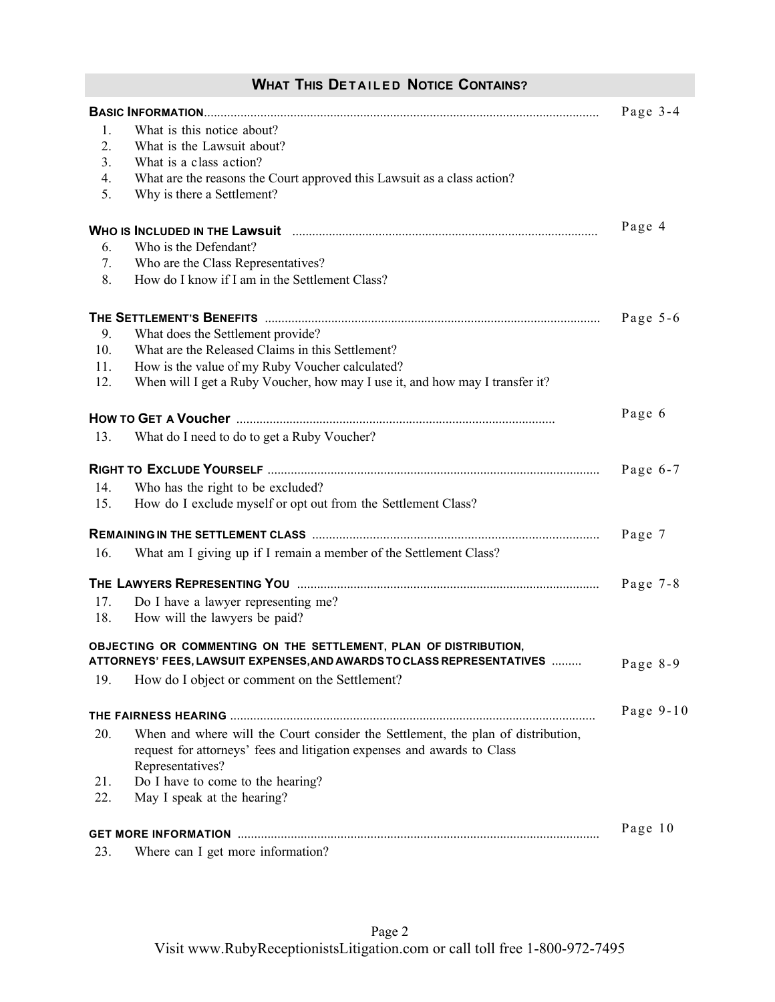# **WHAT THIS DETAILED NOTICE CONTAINS?**

|     |                                                                                                                                                                                 | Page $3-4$  |
|-----|---------------------------------------------------------------------------------------------------------------------------------------------------------------------------------|-------------|
| 1.  | What is this notice about?                                                                                                                                                      |             |
| 2.  | What is the Lawsuit about?                                                                                                                                                      |             |
| 3.  | What is a class action?                                                                                                                                                         |             |
| 4.  | What are the reasons the Court approved this Lawsuit as a class action?                                                                                                         |             |
| 5.  | Why is there a Settlement?                                                                                                                                                      |             |
|     |                                                                                                                                                                                 | Page 4      |
| 6.  | Who is the Defendant?                                                                                                                                                           |             |
| 7.  | Who are the Class Representatives?                                                                                                                                              |             |
| 8.  | How do I know if I am in the Settlement Class?                                                                                                                                  |             |
|     |                                                                                                                                                                                 | Page $5-6$  |
| 9.  | What does the Settlement provide?                                                                                                                                               |             |
| 10. | What are the Released Claims in this Settlement?                                                                                                                                |             |
| 11. | How is the value of my Ruby Voucher calculated?                                                                                                                                 |             |
| 12. | When will I get a Ruby Voucher, how may I use it, and how may I transfer it?                                                                                                    |             |
|     |                                                                                                                                                                                 | Page 6      |
| 13. | What do I need to do to get a Ruby Voucher?                                                                                                                                     |             |
|     |                                                                                                                                                                                 | Page $6-7$  |
| 14. | Who has the right to be excluded?                                                                                                                                               |             |
| 15. | How do I exclude myself or opt out from the Settlement Class?                                                                                                                   |             |
|     |                                                                                                                                                                                 | Page 7      |
| 16. | What am I giving up if I remain a member of the Settlement Class?                                                                                                               |             |
|     |                                                                                                                                                                                 | Page $7-8$  |
| 17. | Do I have a lawyer representing me?                                                                                                                                             |             |
| 18. | How will the lawyers be paid?                                                                                                                                                   |             |
|     | OBJECTING OR COMMENTING ON THE SETTLEMENT, PLAN OF DISTRIBUTION,<br>ATTORNEYS' FEES, LAWSUIT EXPENSES, AND AWARDS TO CLASS REPRESENTATIVES                                      | Page 8-9    |
| 19. | How do I object or comment on the Settlement?                                                                                                                                   |             |
|     |                                                                                                                                                                                 | Page $9-10$ |
| 20. | When and where will the Court consider the Settlement, the plan of distribution,<br>request for attorneys' fees and litigation expenses and awards to Class<br>Representatives? |             |
| 21. | Do I have to come to the hearing?                                                                                                                                               |             |
| 22. | May I speak at the hearing?                                                                                                                                                     |             |
|     |                                                                                                                                                                                 | Page 10     |
| 23. | Where can I get more information?                                                                                                                                               |             |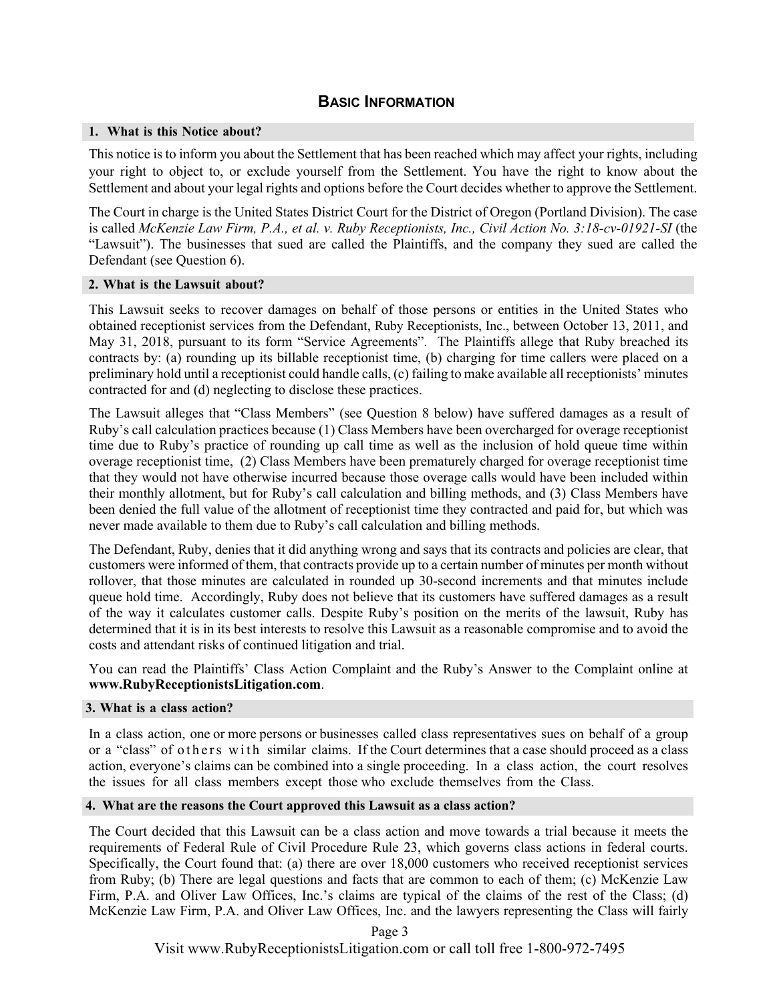### **BASIC INFORMATION**

#### **1. What is this Notice about?**

This notice is to inform you about the Settlement that has been reached which may affect your rights, including your right to object to, or exclude yourself from the Settlement. You have the right to know about the Settlement and about your legal rights and options before the Court decides whether to approve the Settlement.

The Court in charge is the United States District Court for the District of Oregon (Portland Division). The case is called *McKenzie Law Firm, P.A., et al. v. Ruby Receptionists, Inc., Civil Action No. 3:18-cv-01921-SI* (the "Lawsuit"). The businesses that sued are called the Plaintiffs, and the company they sued are called the Defendant (see Question 6).

#### **2. What is the Lawsuit about?**

This Lawsuit seeks to recover damages on behalf of those persons or entities in the United States who obtained receptionist services from the Defendant, Ruby Receptionists, Inc., between October 13, 2011, and May 31, 2018, pursuant to its form "Service Agreements". The Plaintiffs allege that Ruby breached its contracts by: (a) rounding up its billable receptionist time, (b) charging for time callers were placed on a preliminary hold until a receptionist could handle calls, (c) failing to make available all receptionists' minutes contracted for and (d) neglecting to disclose these practices.

The Lawsuit alleges that "Class Members" (see Question 8 below) have suffered damages as a result of Ruby's call calculation practices because (1) Class Members have been overcharged for overage receptionist time due to Ruby's practice of rounding up call time as well as the inclusion of hold queue time within overage receptionist time, (2) Class Members have been prematurely charged for overage receptionist time that they would not have otherwise incurred because those overage calls would have been included within their monthly allotment, but for Ruby's call calculation and billing methods, and (3) Class Members have been denied the full value of the allotment of receptionist time they contracted and paid for, but which was never made available to them due to Ruby's call calculation and billing methods.

The Defendant, Ruby, denies that it did anything wrong and says that its contracts and policies are clear, that customers were informed of them, that contracts provide up to a certain number of minutes per month without rollover, that those minutes are calculated in rounded up 30-second increments and that minutes include queue hold time. Accordingly, Ruby does not believe that its customers have suffered damages as a result of the way it calculates customer calls. Despite Ruby's position on the merits of the lawsuit, Ruby has determined that it is in its best interests to resolve this Lawsuit as a reasonable compromise and to avoid the costs and attendant risks of continued litigation and trial.

You can read the Plaintiffs' Class Action Complaint and the Ruby's Answer to the Complaint online at **www.RubyReceptionistsLitigation.com**.

### **3. What is a class action?**

In a class action, one or more persons or businesses called class representatives sues on behalf of a group or a "class" of others with similar claims. If the Court determines that a case should proceed as a class action, everyone's claims can be combined into a single proceeding. In a class action, the court resolves the issues for all class members except those who exclude themselves from the Class.

#### **4. What are the reasons the Court approved this Lawsuit as a class action?**

The Court decided that this Lawsuit can be a class action and move towards a trial because it meets the requirements of Federal Rule of Civil Procedure Rule 23, which governs class actions in federal courts. Specifically, the Court found that: (a) there are over 18,000 customers who received receptionist services from Ruby; (b) There are legal questions and facts that are common to each of them; (c) McKenzie Law Firm, P.A. and Oliver Law Offices, Inc.'s claims are typical of the claims of the rest of the Class; (d) McKenzie Law Firm, P.A. and Oliver Law Offices, Inc. and the lawyers representing the Class will fairly

Page 3

Visit www.RubyReceptionistsLitigation.com or call toll free 1-800-972-7495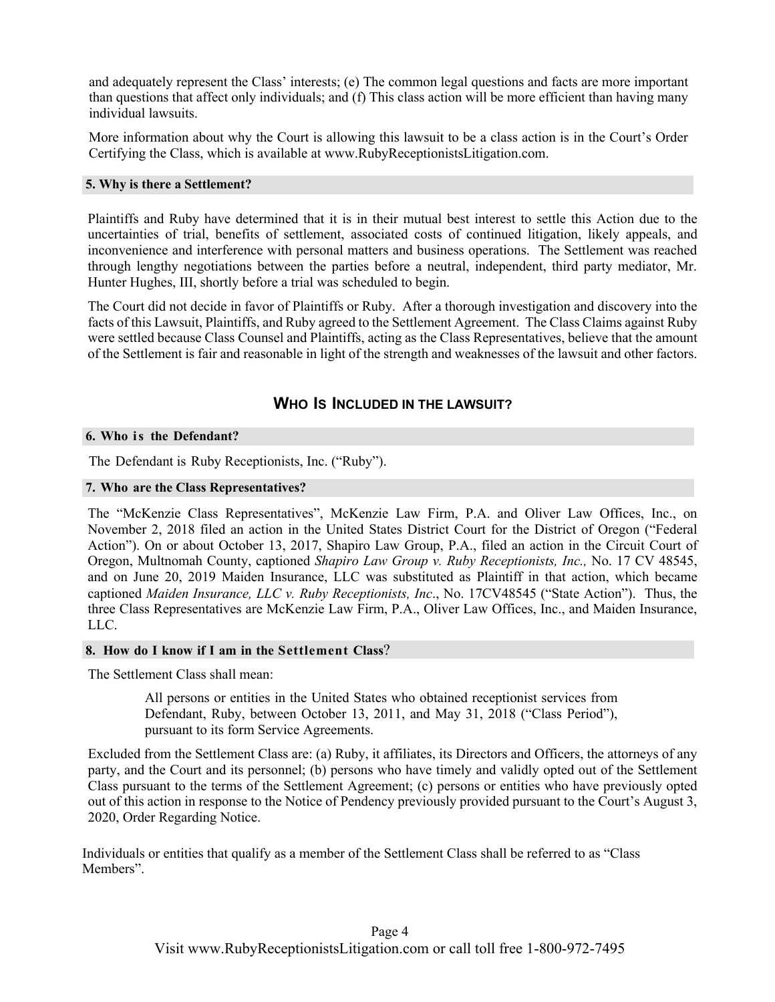and adequately represent the Class' interests; (e) The common legal questions and facts are more important than questions that affect only individuals; and (f) This class action will be more efficient than having many individual lawsuits.

More information about why the Court is allowing this lawsuit to be a class action is in the Court's Order Certifying the Class, which is available at www.RubyReceptionistsLitigation.com.

### **5. Why is there a Settlement?**

Plaintiffs and Ruby have determined that it is in their mutual best interest to settle this Action due to the uncertainties of trial, benefits of settlement, associated costs of continued litigation, likely appeals, and inconvenience and interference with personal matters and business operations. The Settlement was reached through lengthy negotiations between the parties before a neutral, independent, third party mediator, Mr. Hunter Hughes, III, shortly before a trial was scheduled to begin.

The Court did not decide in favor of Plaintiffs or Ruby. After a thorough investigation and discovery into the facts of this Lawsuit, Plaintiffs, and Ruby agreed to the Settlement Agreement. The Class Claims against Ruby were settled because Class Counsel and Plaintiffs, acting as the Class Representatives, believe that the amount of the Settlement is fair and reasonable in light of the strength and weaknesses of the lawsuit and other factors.

### **WHO IS INCLUDED IN THE LAWSUIT?**

### **6. Who i s the Defendant?**

The Defendant is Ruby Receptionists, Inc. ("Ruby").

### **7. Who are the Class Representatives?**

The "McKenzie Class Representatives", McKenzie Law Firm, P.A. and Oliver Law Offices, Inc., on November 2, 2018 filed an action in the United States District Court for the District of Oregon ("Federal Action"). On or about October 13, 2017, Shapiro Law Group, P.A., filed an action in the Circuit Court of Oregon, Multnomah County, captioned *Shapiro Law Group v. Ruby Receptionists, Inc.,* No. 17 CV 48545, and on June 20, 2019 Maiden Insurance, LLC was substituted as Plaintiff in that action, which became captioned *Maiden Insurance, LLC v. Ruby Receptionists, Inc*., No. 17CV48545 ("State Action"). Thus, the three Class Representatives are McKenzie Law Firm, P.A., Oliver Law Offices, Inc., and Maiden Insurance, LLC.

### **8. How do I know if I am in the Settlement Class**?

The Settlement Class shall mean:

All persons or entities in the United States who obtained receptionist services from Defendant, Ruby, between October 13, 2011, and May 31, 2018 ("Class Period"), pursuant to its form Service Agreements.

Excluded from the Settlement Class are: (a) Ruby, it affiliates, its Directors and Officers, the attorneys of any party, and the Court and its personnel; (b) persons who have timely and validly opted out of the Settlement Class pursuant to the terms of the Settlement Agreement; (c) persons or entities who have previously opted out of this action in response to the Notice of Pendency previously provided pursuant to the Court's August 3, 2020, Order Regarding Notice.

Individuals or entities that qualify as a member of the Settlement Class shall be referred to as "Class Members".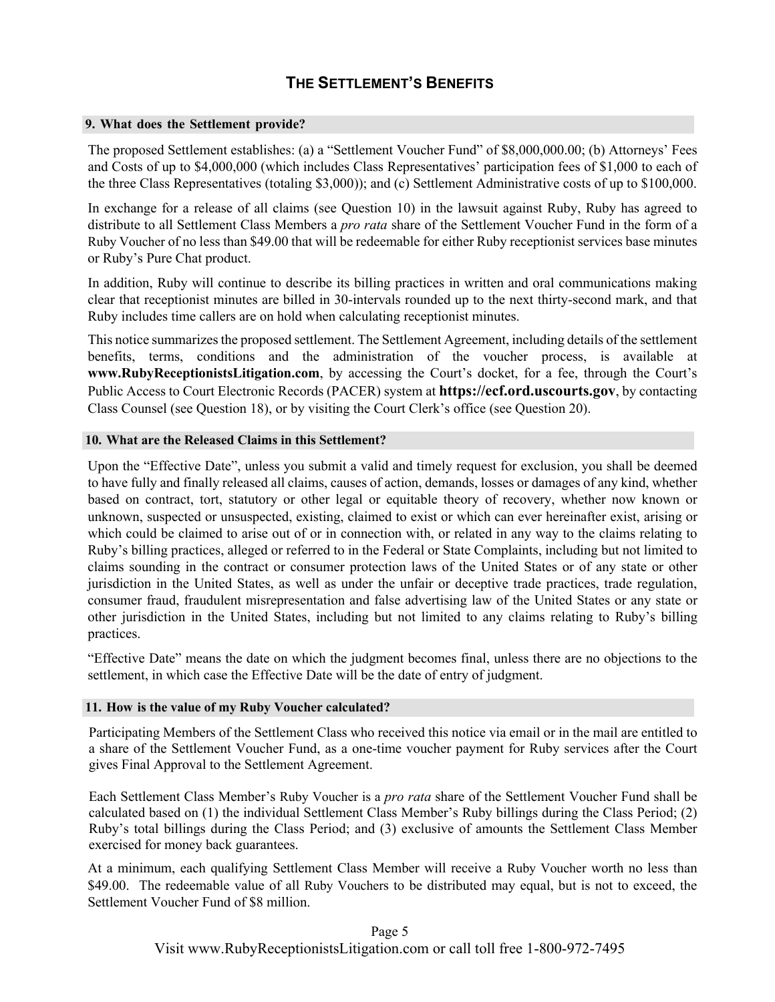# **THE SETTLEMENT'S BENEFITS**

#### **9. What does the Settlement provide?**

The proposed Settlement establishes: (a) a "Settlement Voucher Fund" of \$8,000,000.00; (b) Attorneys' Fees and Costs of up to \$4,000,000 (which includes Class Representatives' participation fees of \$1,000 to each of the three Class Representatives (totaling \$3,000)); and (c) Settlement Administrative costs of up to \$100,000.

In exchange for a release of all claims (see Question 10) in the lawsuit against Ruby, Ruby has agreed to distribute to all Settlement Class Members a *pro rata* share of the Settlement Voucher Fund in the form of a Ruby Voucher of no less than \$49.00 that will be redeemable for either Ruby receptionist services base minutes or Ruby's Pure Chat product.

In addition, Ruby will continue to describe its billing practices in written and oral communications making clear that receptionist minutes are billed in 30-intervals rounded up to the next thirty-second mark, and that Ruby includes time callers are on hold when calculating receptionist minutes.

This notice summarizes the proposed settlement. The Settlement Agreement, including details of the settlement benefits, terms, conditions and the administration of the voucher process, is available at **www.RubyReceptionistsLitigation.com**, by accessing the Court's docket, for a fee, through the Court's Public Access to Court Electronic Records (PACER) system at **https://ecf.ord.uscourts.gov**, by contacting Class Counsel (see Question 18), or by visiting the Court Clerk's office (see Question 20).

### **10. What are the Released Claims in this Settlement?**

Upon the "Effective Date", unless you submit a valid and timely request for exclusion, you shall be deemed to have fully and finally released all claims, causes of action, demands, losses or damages of any kind, whether based on contract, tort, statutory or other legal or equitable theory of recovery, whether now known or unknown, suspected or unsuspected, existing, claimed to exist or which can ever hereinafter exist, arising or which could be claimed to arise out of or in connection with, or related in any way to the claims relating to Ruby's billing practices, alleged or referred to in the Federal or State Complaints, including but not limited to claims sounding in the contract or consumer protection laws of the United States or of any state or other jurisdiction in the United States, as well as under the unfair or deceptive trade practices, trade regulation, consumer fraud, fraudulent misrepresentation and false advertising law of the United States or any state or other jurisdiction in the United States, including but not limited to any claims relating to Ruby's billing practices.

"Effective Date" means the date on which the judgment becomes final, unless there are no objections to the settlement, in which case the Effective Date will be the date of entry of judgment.

### **11. How is the value of my Ruby Voucher calculated?**

Participating Members of the Settlement Class who received this notice via email or in the mail are entitled to a share of the Settlement Voucher Fund, as a one-time voucher payment for Ruby services after the Court gives Final Approval to the Settlement Agreement.

Each Settlement Class Member's Ruby Voucher is a *pro rata* share of the Settlement Voucher Fund shall be calculated based on (1) the individual Settlement Class Member's Ruby billings during the Class Period; (2) Ruby's total billings during the Class Period; and (3) exclusive of amounts the Settlement Class Member exercised for money back guarantees.

At a minimum, each qualifying Settlement Class Member will receive a Ruby Voucher worth no less than \$49.00. The redeemable value of all Ruby Vouchers to be distributed may equal, but is not to exceed, the Settlement Voucher Fund of \$8 million.

### Page 5

Visit www.RubyReceptionistsLitigation.com or call toll free 1-800-972-7495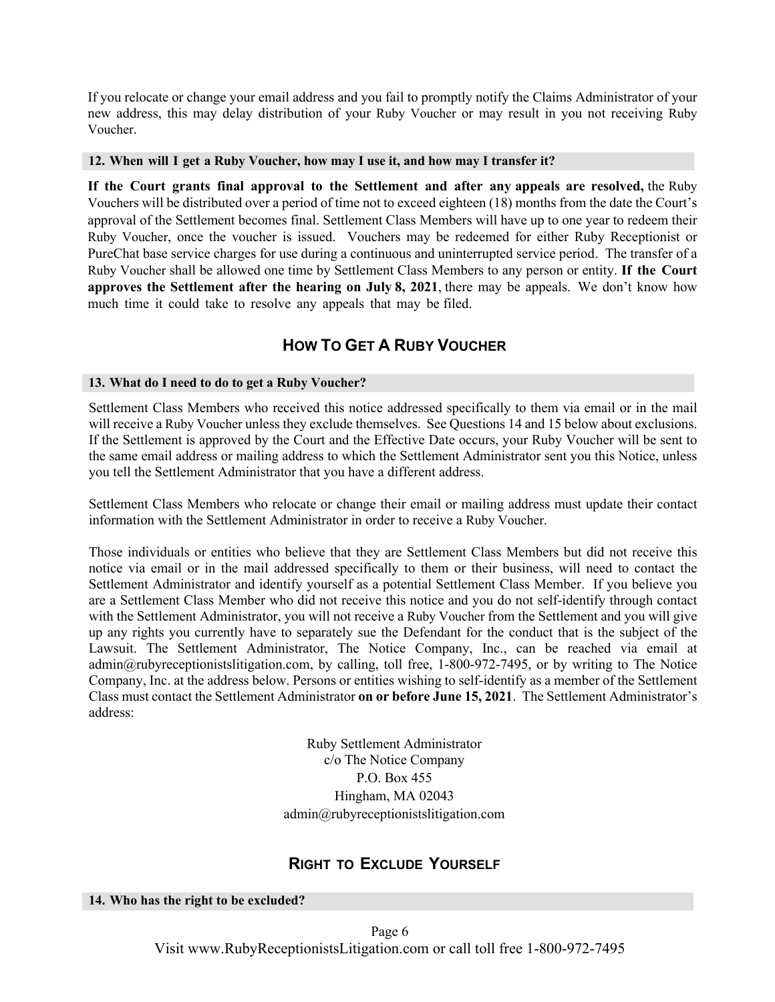If you relocate or change your email address and you fail to promptly notify the Claims Administrator of your new address, this may delay distribution of your Ruby Voucher or may result in you not receiving Ruby Voucher.

### **12. When will I get a Ruby Voucher, how may I use it, and how may I transfer it?**

**If the Court grants final approval to the Settlement and after any appeals are resolved,** the Ruby Vouchers will be distributed over a period of time not to exceed eighteen (18) months from the date the Court's approval of the Settlement becomes final. Settlement Class Members will have up to one year to redeem their Ruby Voucher, once the voucher is issued. Vouchers may be redeemed for either Ruby Receptionist or PureChat base service charges for use during a continuous and uninterrupted service period. The transfer of a Ruby Voucher shall be allowed one time by Settlement Class Members to any person or entity. **If the Court approves the Settlement after the hearing on July 8, 2021**, there may be appeals. We don't know how much time it could take to resolve any appeals that may be filed.

# **HOW TO GET A RUBY VOUCHER**

### **13. What do I need to do to get a Ruby Voucher?**

Settlement Class Members who received this notice addressed specifically to them via email or in the mail will receive a Ruby Voucher unless they exclude themselves. See Questions 14 and 15 below about exclusions. If the Settlement is approved by the Court and the Effective Date occurs, your Ruby Voucher will be sent to the same email address or mailing address to which the Settlement Administrator sent you this Notice, unless you tell the Settlement Administrator that you have a different address.

Settlement Class Members who relocate or change their email or mailing address must update their contact information with the Settlement Administrator in order to receive a Ruby Voucher.

Those individuals or entities who believe that they are Settlement Class Members but did not receive this notice via email or in the mail addressed specifically to them or their business, will need to contact the Settlement Administrator and identify yourself as a potential Settlement Class Member. If you believe you are a Settlement Class Member who did not receive this notice and you do not self-identify through contact with the Settlement Administrator, you will not receive a Ruby Voucher from the Settlement and you will give up any rights you currently have to separately sue the Defendant for the conduct that is the subject of the Lawsuit. The Settlement Administrator, The Notice Company, Inc., can be reached via email at admin@rubyreceptionistslitigation.com, by calling, toll free, 1-800-972-7495, or by writing to The Notice Company, Inc. at the address below. Persons or entities wishing to self-identify as a member of the Settlement Class must contact the Settlement Administrator **on or before June 15, 2021**. The Settlement Administrator's address:

> Ruby Settlement Administrator c/o The Notice Company P.O. Box 455 Hingham, MA 02043 admin@rubyreceptionistslitigation.com

### **RIGHT TO EXCLUDE YOURSELF**

#### **14. Who has the right to be excluded?**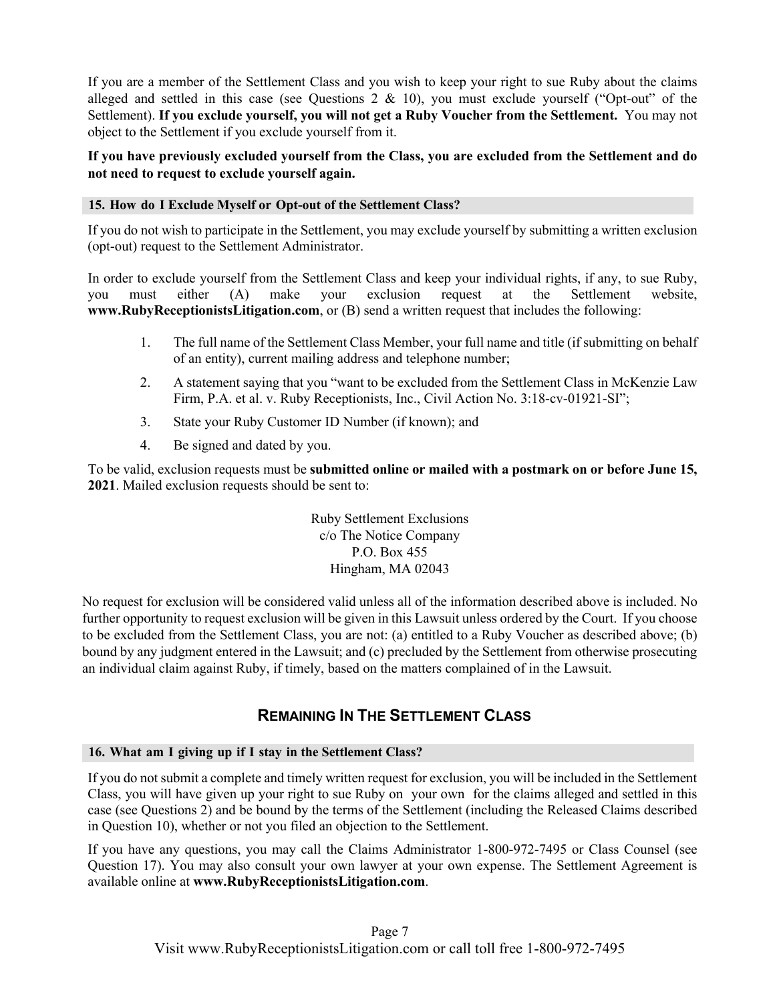If you are a member of the Settlement Class and you wish to keep your right to sue Ruby about the claims alleged and settled in this case (see Questions  $2 \& 10$ ), you must exclude yourself ("Opt-out" of the Settlement). **If you exclude yourself, you will not get a Ruby Voucher from the Settlement.** You may not object to the Settlement if you exclude yourself from it.

**If you have previously excluded yourself from the Class, you are excluded from the Settlement and do not need to request to exclude yourself again.**

### **15. How do I Exclude Myself or Opt-out of the Settlement Class?**

If you do not wish to participate in the Settlement, you may exclude yourself by submitting a written exclusion (opt-out) request to the Settlement Administrator.

In order to exclude yourself from the Settlement Class and keep your individual rights, if any, to sue Ruby, you must either (A) make your exclusion request at the Settlement website, **www.RubyReceptionistsLitigation.com**, or (B) send a written request that includes the following:

- 1. The full name of the Settlement Class Member, your full name and title (if submitting on behalf of an entity), current mailing address and telephone number;
- 2. A statement saying that you "want to be excluded from the Settlement Class in McKenzie Law Firm, P.A. et al. v. Ruby Receptionists, Inc., Civil Action No. 3:18-cv-01921-SI";
- 3. State your Ruby Customer ID Number (if known); and
- 4. Be signed and dated by you.

To be valid, exclusion requests must be **submitted online or mailed with a postmark on or before June 15, 2021**. Mailed exclusion requests should be sent to:

> Ruby Settlement Exclusions c/o The Notice Company P.O. Box 455 Hingham, MA 02043

No request for exclusion will be considered valid unless all of the information described above is included. No further opportunity to request exclusion will be given in this Lawsuit unless ordered by the Court. If you choose to be excluded from the Settlement Class, you are not: (a) entitled to a Ruby Voucher as described above; (b) bound by any judgment entered in the Lawsuit; and (c) precluded by the Settlement from otherwise prosecuting an individual claim against Ruby, if timely, based on the matters complained of in the Lawsuit.

# **REMAINING IN THE SETTLEMENT CLASS**

### **16. What am I giving up if I stay in the Settlement Class?**

If you do not submit a complete and timely written request for exclusion, you will be included in the Settlement Class, you will have given up your right to sue Ruby on your own for the claims alleged and settled in this case (see Questions 2) and be bound by the terms of the Settlement (including the Released Claims described in Question 10), whether or not you filed an objection to the Settlement.

If you have any questions, you may call the Claims Administrator 1-800-972-7495 or Class Counsel (see Question 17). You may also consult your own lawyer at your own expense. The Settlement Agreement is available online at **www.RubyReceptionistsLitigation.com**.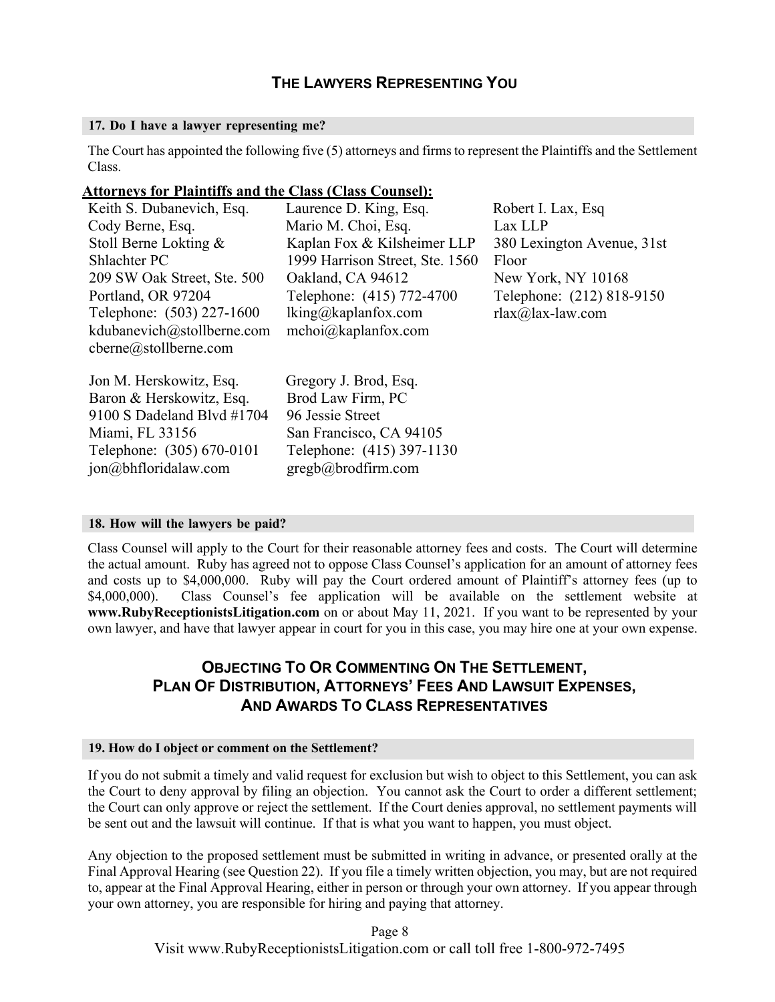# **THE LAWYERS REPRESENTING YOU**

### **17. Do I have a lawyer representing me?**

The Court has appointed the following five (5) attorneys and firms to represent the Plaintiffs and the Settlement Class.

### **Attorneys for Plaintiffs and the Class (Class Counsel):**

| Keith S. Dubanevich, Esq.     | Laurence D. King, Esq.          | Robert I. Lax, Esq         |
|-------------------------------|---------------------------------|----------------------------|
| Cody Berne, Esq.              | Mario M. Choi, Esq.             | Lax LLP                    |
| Stoll Berne Lokting &         | Kaplan Fox & Kilsheimer LLP     | 380 Lexington Avenue, 31st |
| Shlachter PC                  | 1999 Harrison Street, Ste. 1560 | Floor                      |
| 209 SW Oak Street, Ste. 500   | Oakland, CA 94612               | New York, NY 10168         |
| Portland, OR 97204            | Telephone: (415) 772-4700       | Telephone: (212) 818-9150  |
| Telephone: (503) 227-1600     | $lking@kaplan fox.com$          | $rlax@$ lax-law.com        |
| kdubanevich@stollberne.com    | mchoi@kaplanfox.com             |                            |
| cberne@stollberne.com         |                                 |                            |
| Jon M. Herskowitz, Esq.       | Gregory J. Brod, Esq.           |                            |
| Baron & Herskowitz, Esq.      | Brod Law Firm, PC               |                            |
| 9100 S Dadeland Blvd $\#1704$ | 96 Jessie Street                |                            |
| Miami, FL 33156               | San Francisco, CA 94105         |                            |
| Telephone: (305) 670-0101     | Telephone: (415) 397-1130       |                            |
|                               |                                 |                            |
| jon@bhfloridalaw.com          | gregb@brodfirm.com              |                            |

### **18. How will the lawyers be paid?**

Class Counsel will apply to the Court for their reasonable attorney fees and costs. The Court will determine the actual amount. Ruby has agreed not to oppose Class Counsel's application for an amount of attorney fees and costs up to \$4,000,000. Ruby will pay the Court ordered amount of Plaintiff's attorney fees (up to \$4,000,000). Class Counsel's fee application will be available on the settlement website at **www.RubyReceptionistsLitigation.com** on or about May 11, 2021. If you want to be represented by your own lawyer, and have that lawyer appear in court for you in this case, you may hire one at your own expense.

# **OBJECTING TO OR COMMENTING ON THE SETTLEMENT, PLAN OF DISTRIBUTION, ATTORNEYS' FEES AND LAWSUIT EXPENSES, AND AWARDS TO CLASS REPRESENTATIVES**

#### **19. How do I object or comment on the Settlement?**

If you do not submit a timely and valid request for exclusion but wish to object to this Settlement, you can ask the Court to deny approval by filing an objection. You cannot ask the Court to order a different settlement; the Court can only approve or reject the settlement. If the Court denies approval, no settlement payments will be sent out and the lawsuit will continue. If that is what you want to happen, you must object.

Any objection to the proposed settlement must be submitted in writing in advance, or presented orally at the Final Approval Hearing (see Question 22). If you file a timely written objection, you may, but are not required to, appear at the Final Approval Hearing, either in person or through your own attorney. If you appear through your own attorney, you are responsible for hiring and paying that attorney.

> Page 8 Visit www.RubyReceptionistsLitigation.com or call toll free 1-800-972-7495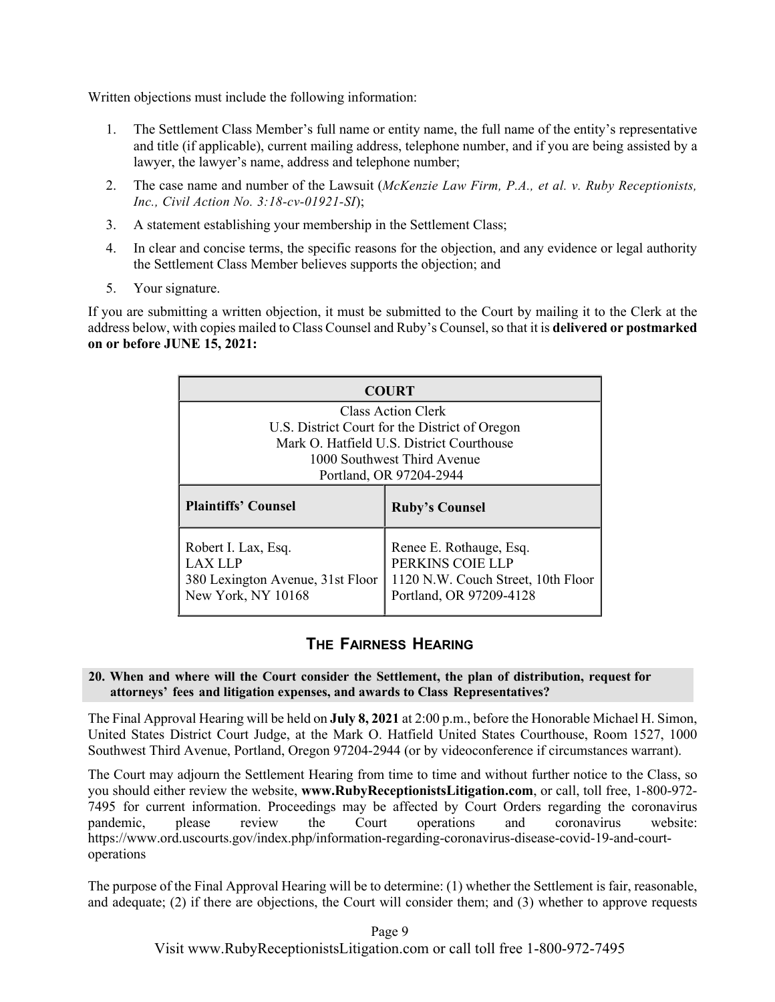Written objections must include the following information:

- 1. The Settlement Class Member's full name or entity name, the full name of the entity's representative and title (if applicable), current mailing address, telephone number, and if you are being assisted by a lawyer, the lawyer's name, address and telephone number;
- 2. The case name and number of the Lawsuit (*McKenzie Law Firm, P.A., et al. v. Ruby Receptionists, Inc., Civil Action No. 3:18-cv-01921-SI*);
- 3. A statement establishing your membership in the Settlement Class;
- 4. In clear and concise terms, the specific reasons for the objection, and any evidence or legal authority the Settlement Class Member believes supports the objection; and
- 5. Your signature.

If you are submitting a written objection, it must be submitted to the Court by mailing it to the Clerk at the address below, with copies mailed to Class Counsel and Ruby's Counsel,so that it is **delivered or postmarked on or before JUNE 15, 2021:**

| <b>COURT</b>                                                                                                      |                                                                                                              |  |  |
|-------------------------------------------------------------------------------------------------------------------|--------------------------------------------------------------------------------------------------------------|--|--|
| Class Action Clerk<br>U.S. District Court for the District of Oregon<br>Mark O. Hatfield U.S. District Courthouse |                                                                                                              |  |  |
| 1000 Southwest Third Avenue<br>Portland, OR 97204-2944                                                            |                                                                                                              |  |  |
| <b>Plaintiffs' Counsel</b>                                                                                        | <b>Ruby's Counsel</b>                                                                                        |  |  |
| Robert I. Lax, Esq.<br><b>LAX LLP</b><br>380 Lexington Avenue, 31st Floor<br>New York, NY 10168                   | Renee E. Rothauge, Esq.<br>PERKINS COIE LLP<br>1120 N.W. Couch Street, 10th Floor<br>Portland, OR 97209-4128 |  |  |

### **THE FAIRNESS HEARING**

### **20. When and where will the Court consider the Settlement, the plan of distribution, request for attorneys' fees and litigation expenses, and awards to Class Representatives?**

The Final Approval Hearing will be held on **July 8, 2021** at 2:00 p.m., before the Honorable Michael H. Simon, United States District Court Judge, at the Mark O. Hatfield United States Courthouse, Room 1527, 1000 Southwest Third Avenue, Portland, Oregon 97204-2944 (or by videoconference if circumstances warrant).

The Court may adjourn the Settlement Hearing from time to time and without further notice to the Class, so you should either review the website, **www.RubyReceptionistsLitigation.com**, or call, toll free, 1-800-972- 7495 for current information. Proceedings may be affected by Court Orders regarding the coronavirus pandemic, please review the Court operations and coronavirus website: https://www.ord.uscourts.gov/index.php/information-regarding-coronavirus-disease-covid-19-and-courtoperations

The purpose of the Final Approval Hearing will be to determine: (1) whether the Settlement is fair, reasonable, and adequate; (2) if there are objections, the Court will consider them; and (3) whether to approve requests